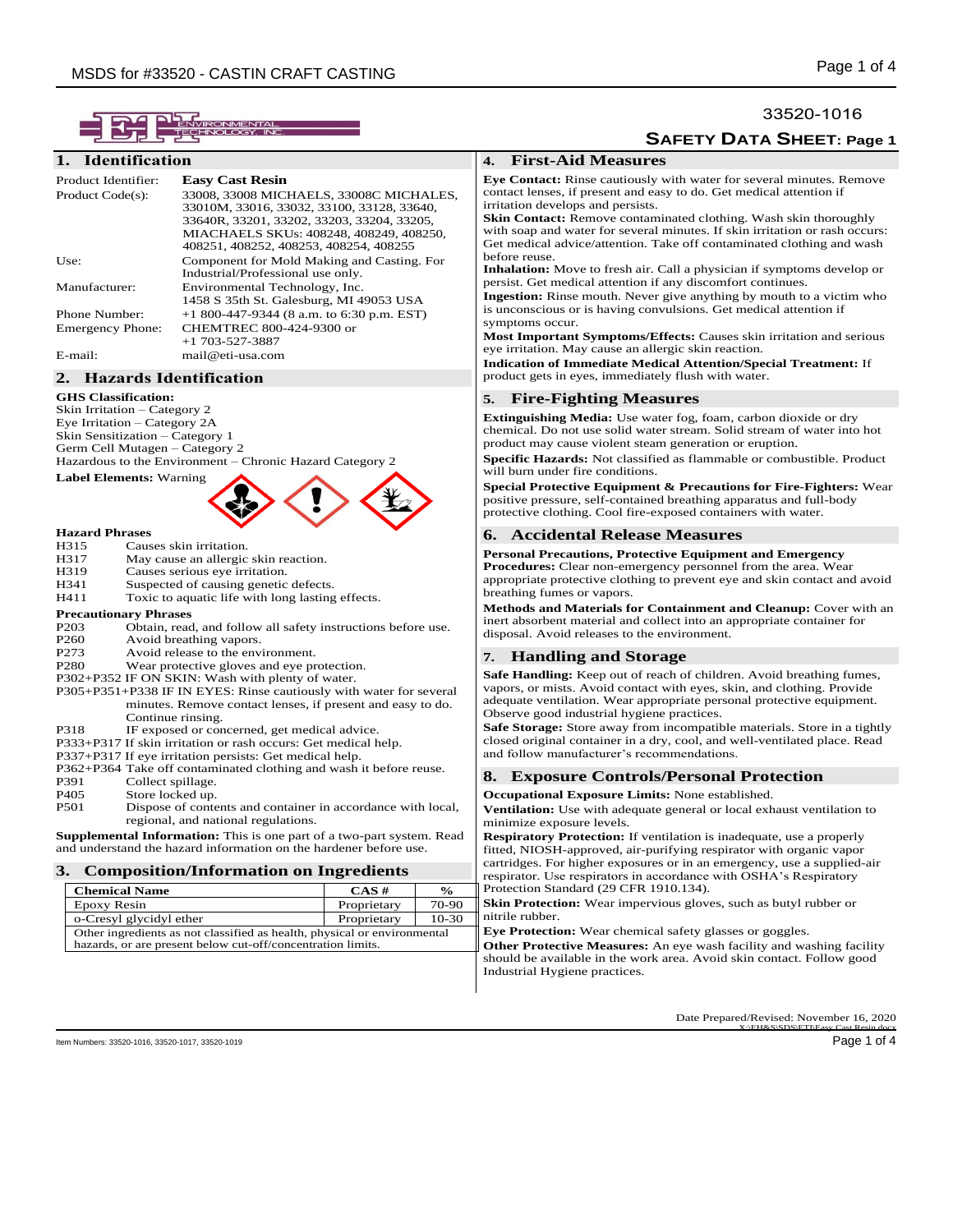# **1. Identification**

| Product Identifier:     | <b>Easy Cast Resin</b>                     |
|-------------------------|--------------------------------------------|
| Product Code(s):        | 33008, 33008 MICHAELS, 33008C MICHALES,    |
|                         | 33010M, 33016, 33032, 33100, 33128, 33640, |
|                         | 33640R, 33201, 33202, 33203, 33204, 33205, |
|                         | MIACHAELS SKUs: 408248, 408249, 408250,    |
|                         | 408251, 408252, 408253, 408254, 408255     |
| Use:                    | Component for Mold Making and Casting. For |
|                         | Industrial/Professional use only.          |
| Manufacturer:           | Environmental Technology, Inc.             |
|                         | 1458 S 35th St. Galesburg, MI 49053 USA    |
| Phone Number:           | $+1800-447-9344$ (8 a.m. to 6:30 p.m. EST) |
| <b>Emergency Phone:</b> | CHEMTREC 800-424-9300 or                   |
|                         | $+1$ 703-527-3887                          |
| E-mail:                 | mail@eti-usa.com                           |

# **2. Hazards Identification**

**GHS Classification:**

Skin Irritation – Category 2 Eye Irritation – Category 2A Skin Sensitization – Category 1 Germ Cell Mutagen – Category 2

Hazardous to the Environment – Chronic Hazard Category 2

# **Label Elements:** Warning

# **Hazard Phrases**

- H315 Causes skin irritation.<br>H317 May cause an allergic
- H317 May cause an allergic skin reaction.<br>
H319 Causes serious eve irritation
- Causes serious eye irritation.
- H341 Suspected of causing genetic defects.
- H411 Toxic to aquatic life with long lasting effects.

# **Precautionary Phrases**<br>P203 **Obtain**, read

- P203 Obtain, read, and follow all safety instructions before use.<br>P260 Avoid breathing vapors.
- P260 Avoid breathing vapors.<br>P273 Avoid release to the env
- P273 Avoid release to the environment.<br>P280 Wear protective gloves and eve pr
- Wear protective gloves and eye protection.
- P302+P352 IF ON SKIN: Wash with plenty of water.
- P305+P351+P338 IF IN EYES: Rinse cautiously with water for several minutes. Remove contact lenses, if present and easy to do. Continue rinsing.
- P318 IF exposed or concerned, get medical advice.
- P333+P317 If skin irritation or rash occurs: Get medical help.
- P337+P317 If eye irritation persists: Get medical help.
- P362+P364 Take off contaminated clothing and wash it before reuse.
- P391 Collect spillage.<br>P405 Store locked up Store locked up.
- 
- P501 Dispose of contents and container in accordance with local, regional, and national regulations.

**Supplemental Information:** This is one part of a two-part system. Read and understand the hazard information on the hardener before use.

## **3. Composition/Information on Ingredients**

| <b>Chemical Name</b>                                                     | $CAS \#$    | $\frac{6}{9}$ |
|--------------------------------------------------------------------------|-------------|---------------|
| Epoxy Resin                                                              | Proprietary | 70-90         |
| o-Cresyl glycidyl ether                                                  | Proprietary | $10-30$       |
| Other ingredients as not classified as health, physical or environmental |             |               |
| hazards, or are present below cut-off/concentration limits.              |             |               |

# 33520-1016

**SAFETY DATA SHEET: Page 1**

# **4. First-Aid Measures**

**Eye Contact:** Rinse cautiously with water for several minutes. Remove contact lenses, if present and easy to do. Get medical attention if irritation develops and persists.

**Skin Contact:** Remove contaminated clothing. Wash skin thoroughly with soap and water for several minutes. If skin irritation or rash occurs: Get medical advice/attention. Take off contaminated clothing and wash before reuse.

**Inhalation:** Move to fresh air. Call a physician if symptoms develop or persist. Get medical attention if any discomfort continues.

**Ingestion:** Rinse mouth. Never give anything by mouth to a victim who is unconscious or is having convulsions. Get medical attention if symptoms occur.

**Most Important Symptoms/Effects:** Causes skin irritation and serious eye irritation. May cause an allergic skin reaction.

**Indication of Immediate Medical Attention/Special Treatment:** If product gets in eyes, immediately flush with water.

# **5. Fire-Fighting Measures**

**Extinguishing Media:** Use water fog, foam, carbon dioxide or dry chemical. Do not use solid water stream. Solid stream of water into hot product may cause violent steam generation or eruption.

**Specific Hazards:** Not classified as flammable or combustible. Product will burn under fire conditions.

**Special Protective Equipment & Precautions for Fire-Fighters:** Wear positive pressure, self-contained breathing apparatus and full-body protective clothing. Cool fire-exposed containers with water.

#### **6. Accidental Release Measures**

#### **Personal Precautions, Protective Equipment and Emergency**

**Procedures:** Clear non-emergency personnel from the area. Wear appropriate protective clothing to prevent eye and skin contact and avoid breathing fumes or vapors.

**Methods and Materials for Containment and Cleanup:** Cover with an inert absorbent material and collect into an appropriate container for disposal. Avoid releases to the environment.

# **7. Handling and Storage**

**Safe Handling:** Keep out of reach of children. Avoid breathing fumes, vapors, or mists. Avoid contact with eyes, skin, and clothing. Provide adequate ventilation. Wear appropriate personal protective equipment. Observe good industrial hygiene practices.

**Safe Storage:** Store away from incompatible materials. Store in a tightly closed original container in a dry, cool, and well-ventilated place. Read and follow manufacturer's recommendations.

#### **8. Exposure Controls/Personal Protection**

#### **Occupational Exposure Limits:** None established.

**Ventilation:** Use with adequate general or local exhaust ventilation to minimize exposure levels.

**Respiratory Protection:** If ventilation is inadequate, use a properly fitted, NIOSH-approved, air-purifying respirator with organic vapor cartridges. For higher exposures or in an emergency, use a supplied-air respirator. Use respirators in accordance with OSHA's Respiratory Protection Standard (29 CFR 1910.134).

**Skin Protection:** Wear impervious gloves, such as butyl rubber or nitrile rubber.

**Eye Protection:** Wear chemical safety glasses or goggles.

**Other Protective Measures:** An eye wash facility and washing facility should be available in the work area. Avoid skin contact. Follow good Industrial Hygiene practices.

> Date Prepared/Revised: November 16, 2020 X:\EH&S\SDS\ETI\Easy Cast Resin.docx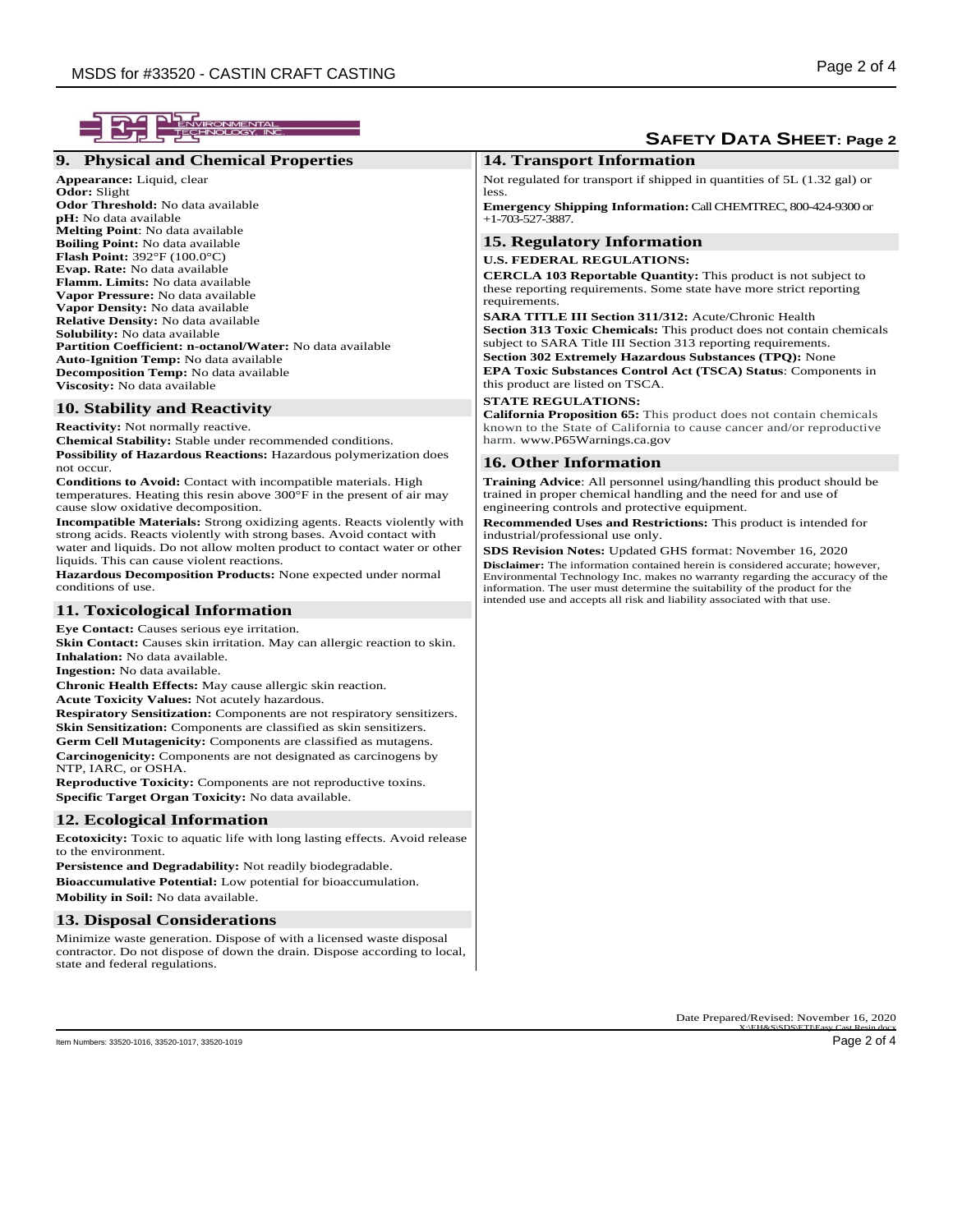| ENVIRONMENTAI<br>TECHNOLOGY, IN                                                                                                                                                                                                                                                                                                                                                                                                                                                                                                                                                                                                                                                                                                                                                                                                                                                                                                                                                                                                           | <b>SAFETY DATA SHEET: Page 2</b>                                                                                                                                                                                                                                                                                                                                                                                                                                                                                                                                                                                                     |  |
|-------------------------------------------------------------------------------------------------------------------------------------------------------------------------------------------------------------------------------------------------------------------------------------------------------------------------------------------------------------------------------------------------------------------------------------------------------------------------------------------------------------------------------------------------------------------------------------------------------------------------------------------------------------------------------------------------------------------------------------------------------------------------------------------------------------------------------------------------------------------------------------------------------------------------------------------------------------------------------------------------------------------------------------------|--------------------------------------------------------------------------------------------------------------------------------------------------------------------------------------------------------------------------------------------------------------------------------------------------------------------------------------------------------------------------------------------------------------------------------------------------------------------------------------------------------------------------------------------------------------------------------------------------------------------------------------|--|
| 9. Physical and Chemical Properties                                                                                                                                                                                                                                                                                                                                                                                                                                                                                                                                                                                                                                                                                                                                                                                                                                                                                                                                                                                                       | <b>14. Transport Information</b>                                                                                                                                                                                                                                                                                                                                                                                                                                                                                                                                                                                                     |  |
| Appearance: Liquid, clear<br><b>Odor:</b> Slight<br><b>Odor Threshold:</b> No data available                                                                                                                                                                                                                                                                                                                                                                                                                                                                                                                                                                                                                                                                                                                                                                                                                                                                                                                                              | Not regulated for transport if shipped in quantities of $5L(1.32 \text{ gal})$ or<br>less.<br><b>Emergency Shipping Information: Call CHEMTREC, 800-424-9300 or</b>                                                                                                                                                                                                                                                                                                                                                                                                                                                                  |  |
| <b>pH:</b> No data available<br><b>Melting Point:</b> No data available                                                                                                                                                                                                                                                                                                                                                                                                                                                                                                                                                                                                                                                                                                                                                                                                                                                                                                                                                                   | $+1-703-527-3887.$                                                                                                                                                                                                                                                                                                                                                                                                                                                                                                                                                                                                                   |  |
| <b>Boiling Point:</b> No data available<br><b>Flash Point:</b> $392^{\circ}F(100.0^{\circ}C)$<br><b>Evap. Rate:</b> No data available<br>Flamm. Limits: No data available<br>Vapor Pressure: No data available<br>Vapor Density: No data available<br><b>Relative Density:</b> No data available<br><b>Solubility:</b> No data available<br>Partition Coefficient: n-octanol/Water: No data available<br><b>Auto-Ignition Temp:</b> No data available                                                                                                                                                                                                                                                                                                                                                                                                                                                                                                                                                                                     | <b>15. Regulatory Information</b><br><b>U.S. FEDERAL REGULATIONS:</b><br><b>CERCLA 103 Reportable Quantity:</b> This product is not subject to<br>these reporting requirements. Some state have more strict reporting<br>requirements.<br>SARA TITLE III Section 311/312: Acute/Chronic Health<br><b>Section 313 Toxic Chemicals:</b> This product does not contain chemicals<br>subject to SARA Title III Section 313 reporting requirements.<br><b>Section 302 Extremely Hazardous Substances (TPQ): None</b>                                                                                                                      |  |
| <b>Decomposition Temp:</b> No data available<br>Viscosity: No data available                                                                                                                                                                                                                                                                                                                                                                                                                                                                                                                                                                                                                                                                                                                                                                                                                                                                                                                                                              | <b>EPA Toxic Substances Control Act (TSCA) Status: Components in</b><br>this product are listed on TSCA.                                                                                                                                                                                                                                                                                                                                                                                                                                                                                                                             |  |
| 10. Stability and Reactivity<br><b>Reactivity:</b> Not normally reactive.<br><b>Chemical Stability:</b> Stable under recommended conditions.                                                                                                                                                                                                                                                                                                                                                                                                                                                                                                                                                                                                                                                                                                                                                                                                                                                                                              | <b>STATE REGULATIONS:</b><br><b>California Proposition 65:</b> This product does not contain chemicals<br>known to the State of California to cause cancer and/or reproductive<br>harm. www.P65Warnings.ca.gov                                                                                                                                                                                                                                                                                                                                                                                                                       |  |
| <b>Possibility of Hazardous Reactions:</b> Hazardous polymerization does                                                                                                                                                                                                                                                                                                                                                                                                                                                                                                                                                                                                                                                                                                                                                                                                                                                                                                                                                                  | <b>16. Other Information</b>                                                                                                                                                                                                                                                                                                                                                                                                                                                                                                                                                                                                         |  |
| not occur.<br><b>Conditions to Avoid:</b> Contact with incompatible materials. High<br>temperatures. Heating this resin above $300^{\circ}$ F in the present of air may<br>cause slow oxidative decomposition.<br><b>Incompatible Materials:</b> Strong oxidizing agents. Reacts violently with<br>strong acids. Reacts violently with strong bases. Avoid contact with<br>water and liquids. Do not allow molten product to contact water or other<br>liquids. This can cause violent reactions.<br>Hazardous Decomposition Products: None expected under normal<br>conditions of use.                                                                                                                                                                                                                                                                                                                                                                                                                                                   | <b>Training Advice:</b> All personnel using/handling this product should be<br>trained in proper chemical handling and the need for and use of<br>engineering controls and protective equipment.<br><b>Recommended Uses and Restrictions:</b> This product is intended for<br>industrial/professional use only.<br>SDS Revision Notes: Updated GHS format: November 16, 2020<br><b>Disclaimer:</b> The information contained herein is considered accurate; however,<br>Environmental Technology Inc. makes no warranty regarding the accuracy of the<br>information. The user must determine the suitability of the product for the |  |
| 11. Toxicological Information                                                                                                                                                                                                                                                                                                                                                                                                                                                                                                                                                                                                                                                                                                                                                                                                                                                                                                                                                                                                             | intended use and accepts all risk and liability associated with that use.                                                                                                                                                                                                                                                                                                                                                                                                                                                                                                                                                            |  |
| Eye Contact: Causes serious eye irritation.<br><b>Skin Contact:</b> Causes skin irritation. May can allergic reaction to skin.<br><b>Inhalation:</b> No data available.<br><b>Ingestion:</b> No data available.<br><b>Chronic Health Effects:</b> May cause allergic skin reaction.<br><b>Acute Toxicity Values:</b> Not acutely hazardous.<br><b>Respiratory Sensitization:</b> Components are not respiratory sensitizers.<br><b>Skin Sensitization:</b> Components are classified as skin sensitizers.<br><b>Germ Cell Mutagenicity:</b> Components are classified as mutagens.<br><b>Carcinogenicity:</b> Components are not designated as carcinogens by<br>NTP, IARC, or OSHA.<br><b>Reproductive Toxicity:</b> Components are not reproductive toxins.<br>Specific Target Organ Toxicity: No data available.<br><b>12. Ecological Information</b><br><b>Ecotoxicity:</b> Toxic to aquatic life with long lasting effects. Avoid release<br>to the environment.<br><b>Persistence and Degradability:</b> Not readily biodegradable. |                                                                                                                                                                                                                                                                                                                                                                                                                                                                                                                                                                                                                                      |  |
| <b>Bioaccumulative Potential:</b> Low potential for bioaccumulation.<br><b>Mobility in Soil:</b> No data available.                                                                                                                                                                                                                                                                                                                                                                                                                                                                                                                                                                                                                                                                                                                                                                                                                                                                                                                       |                                                                                                                                                                                                                                                                                                                                                                                                                                                                                                                                                                                                                                      |  |
|                                                                                                                                                                                                                                                                                                                                                                                                                                                                                                                                                                                                                                                                                                                                                                                                                                                                                                                                                                                                                                           |                                                                                                                                                                                                                                                                                                                                                                                                                                                                                                                                                                                                                                      |  |
| <b>13. Disposal Considerations</b><br>Minimize waste generation. Dispose of with a licensed waste disposal<br>contractor. Do not dispose of down the drain. Dispose according to local,<br>state and federal regulations.                                                                                                                                                                                                                                                                                                                                                                                                                                                                                                                                                                                                                                                                                                                                                                                                                 |                                                                                                                                                                                                                                                                                                                                                                                                                                                                                                                                                                                                                                      |  |
|                                                                                                                                                                                                                                                                                                                                                                                                                                                                                                                                                                                                                                                                                                                                                                                                                                                                                                                                                                                                                                           | Date Prepared/Revised: November 16, 2020                                                                                                                                                                                                                                                                                                                                                                                                                                                                                                                                                                                             |  |
| Item Numbers: 33520-1016, 33520-1017, 33520-1019                                                                                                                                                                                                                                                                                                                                                                                                                                                                                                                                                                                                                                                                                                                                                                                                                                                                                                                                                                                          | X:\FH&S\SDS\FTI\Fasy Cast Resin docy<br>Page 2 of 4                                                                                                                                                                                                                                                                                                                                                                                                                                                                                                                                                                                  |  |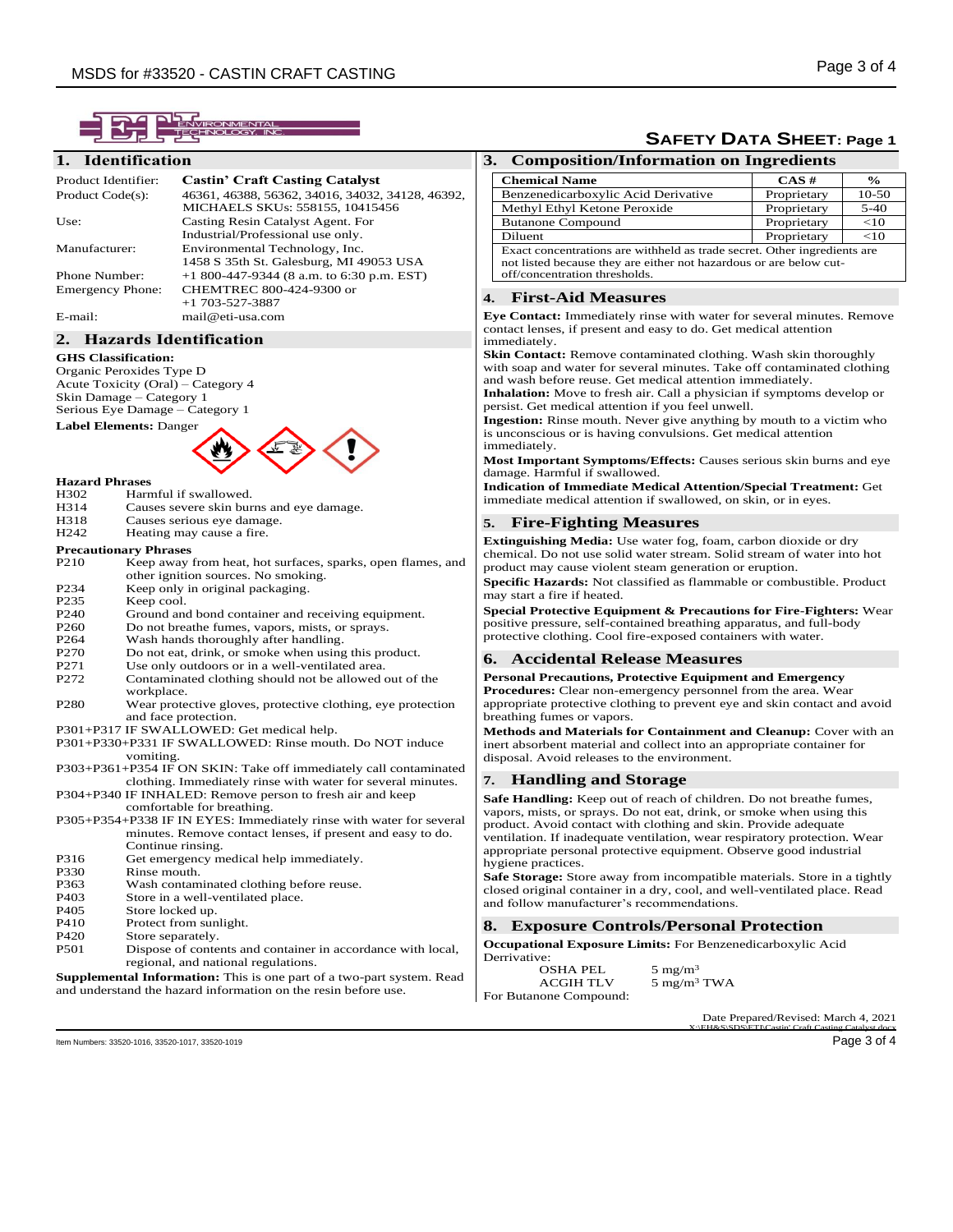

## **1. Identification**

| Product Identifier:  | <b>Castin' Craft Casting Catalyst</b>            |
|----------------------|--------------------------------------------------|
| Product Code(s):     | 46361, 46388, 56362, 34016, 34032, 34128, 46392, |
|                      | MICHAELS SKUs: 558155, 10415456                  |
| Use:                 | Casting Resin Catalyst Agent. For                |
|                      | Industrial/Professional use only.                |
| Manufacturer:        | Environmental Technology, Inc.                   |
|                      | 1458 S 35th St. Galesburg, MI 49053 USA          |
| <b>Phone Number:</b> | $+1800-447-9344$ (8 a.m. to 6:30 p.m. EST)       |
| Emergency Phone:     | CHEMTREC 800-424-9300 or                         |
|                      | $+1$ 703-527-3887                                |
| E-mail:              | mail@eti-usa.com                                 |

#### **2. Hazards Identification**

#### **GHS Classification:**

Organic Peroxides Type D Acute Toxicity (Oral) – Category 4 Skin Damage – Category 1 Serious Eye Damage – Category 1



# **Hazard Phrases**

- H302 Harmful if swallowed.<br>H314 Causes severe skin but
- H314 Causes severe skin burns and eye damage.<br>H318 Causes serious eye damage
- H318 Causes serious eye damage.<br>H242 Heating may cause a fire.
- Heating may cause a fire.

#### **Precautionary Phrases**

| P <sub>210</sub>                                                    | Keep away from heat, hot surfaces, sparks, open flames, and |
|---------------------------------------------------------------------|-------------------------------------------------------------|
|                                                                     | other ignition sources. No smoking.                         |
| P <sub>2</sub> 34                                                   | Keep only in original packaging.                            |
| P <sub>2</sub> 35                                                   | Keep cool.                                                  |
| P <sub>240</sub>                                                    | Ground and bond container and receiving equipment.          |
| P <sub>260</sub>                                                    | Do not breathe fumes, vapors, mists, or sprays.             |
| P <sub>264</sub>                                                    | Wash hands thoroughly after handling.                       |
| P <sub>270</sub>                                                    | Do not eat, drink, or smoke when using this product.        |
| P271                                                                | Use only outdoors or in a well-ventilated area.             |
| P272                                                                | Contaminated clothing should not be allowed out of the      |
|                                                                     | workplace.                                                  |
| P <sub>280</sub>                                                    | Wear protective gloves, protective clothing, eye protection |
|                                                                     | and face protection.                                        |
| P301+P317 IF SWALLOWED: Get medical help.                           |                                                             |
| P301+P330+P331 IF SWALLOWED: Rinse mouth. Do NOT induce             |                                                             |
|                                                                     | vomiting.                                                   |
| P303+P361+P354 IF ON SKIN: Take off immediately call contaminated   |                                                             |
|                                                                     | clothing. Immediately rinse with water for several minutes. |
|                                                                     | P304+P340 IF INHALED: Remove person to fresh air and keep   |
|                                                                     | comfortable for breathing.                                  |
| P305+P354+P338 IF IN EYES: Immediately rinse with water for several |                                                             |
|                                                                     | minutes. Remove contact lenses, if present and easy to do.  |
|                                                                     | Continue rinsing.                                           |
| P316                                                                | Get emergency medical help immediately.                     |
| <b>P330</b>                                                         | Rinse mouth.                                                |
| P363                                                                | Wash contaminated clothing before reuse.                    |
| D <sub>40</sub> 2                                                   | Store in a wall wortilated place.                           |

- P403 Store in a well-ventilated place.<br>P405 Store locked up.
- P405 Store locked up.<br>P410 Protect from sur
- P410 Protect from sunlight.<br>P420 Store separately.
- P<sub>420</sub> Store separately.<br>P<sub>501</sub> Dispose of conte
- Dispose of contents and container in accordance with local, regional, and national regulations.

**Supplemental Information:** This is one part of a two-part system. Read and understand the hazard information on the resin before use.

# **SAFETY DATA SHEET: Page 1**

# **3. Composition/Information on Ingredients**

| <b>Chemical Name</b>                                                                                                                           | $CAS \#$    | $\frac{6}{6}$ |
|------------------------------------------------------------------------------------------------------------------------------------------------|-------------|---------------|
| Benzenedicarboxylic Acid Derivative                                                                                                            | Proprietary | $10-50$       |
| Methyl Ethyl Ketone Peroxide                                                                                                                   | Proprietary | $5 - 40$      |
| <b>Butanone Compound</b>                                                                                                                       | Proprietary | <10           |
| Diluent                                                                                                                                        | Proprietary | <10           |
| Exact concentrations are withheld as trade secret. Other ingredients are<br>not listed because they are either not hazardous or are below cut- |             |               |

off/concentration thresholds.

# **4. First-Aid Measures**

**Eye Contact:** Immediately rinse with water for several minutes. Remove contact lenses, if present and easy to do. Get medical attention immediately.

**Skin Contact:** Remove contaminated clothing. Wash skin thoroughly with soap and water for several minutes. Take off contaminated clothing and wash before reuse. Get medical attention immediately.

**Inhalation:** Move to fresh air. Call a physician if symptoms develop or persist. Get medical attention if you feel unwell.

**Ingestion:** Rinse mouth. Never give anything by mouth to a victim who is unconscious or is having convulsions. Get medical attention immediately.

**Most Important Symptoms/Effects:** Causes serious skin burns and eye damage. Harmful if swallowed.

**Indication of Immediate Medical Attention/Special Treatment:** Get immediate medical attention if swallowed, on skin, or in eyes.

#### **5. Fire-Fighting Measures**

**Extinguishing Media:** Use water fog, foam, carbon dioxide or dry chemical. Do not use solid water stream. Solid stream of water into hot product may cause violent steam generation or eruption.

**Specific Hazards:** Not classified as flammable or combustible. Product may start a fire if heated.

**Special Protective Equipment & Precautions for Fire-Fighters:** Wear positive pressure, self-contained breathing apparatus, and full-body protective clothing. Cool fire-exposed containers with water.

#### **6. Accidental Release Measures**

**Personal Precautions, Protective Equipment and Emergency Procedures:** Clear non-emergency personnel from the area. Wear appropriate protective clothing to prevent eye and skin contact and avoid breathing fumes or vapors.

**Methods and Materials for Containment and Cleanup:** Cover with an inert absorbent material and collect into an appropriate container for disposal. Avoid releases to the environment.

#### **7. Handling and Storage**

**Safe Handling:** Keep out of reach of children. Do not breathe fumes, vapors, mists, or sprays. Do not eat, drink, or smoke when using this product. Avoid contact with clothing and skin. Provide adequate ventilation. If inadequate ventilation, wear respiratory protection. Wear appropriate personal protective equipment. Observe good industrial hygiene practices.

**Safe Storage:** Store away from incompatible materials. Store in a tightly closed original container in a dry, cool, and well-ventilated place. Read and follow manufacturer's recommendations.

#### **8. Exposure Controls/Personal Protection**

**Occupational Exposure Limits:** For Benzenedicarboxylic Acid Derrivative:

OSHA PEL  $5 \text{ mg/m}^3$ <br>ACGIH TLV  $5 \text{ mg/m}^3$ 5 mg/m<sup>3</sup> TWA For Butanone Compound:

> Date Prepared/Revised: March 4, 2021 X:\EH&S\SDS\ETI\Castin' Craft Casting Catalyst.docx

Item Numbers: 33520-1016, 33520-1017, 33520-1019 Page 3 of 4